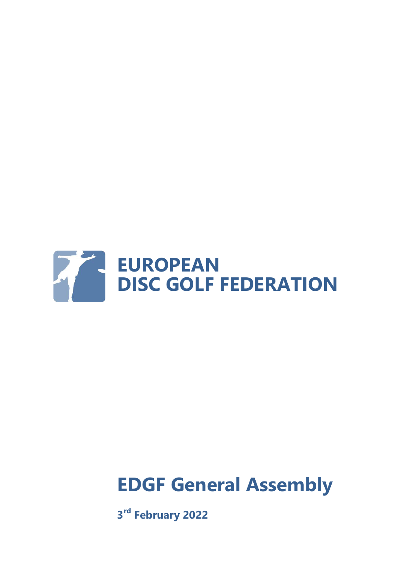

# **EDGF General Assembly**

**3 rd February 2022**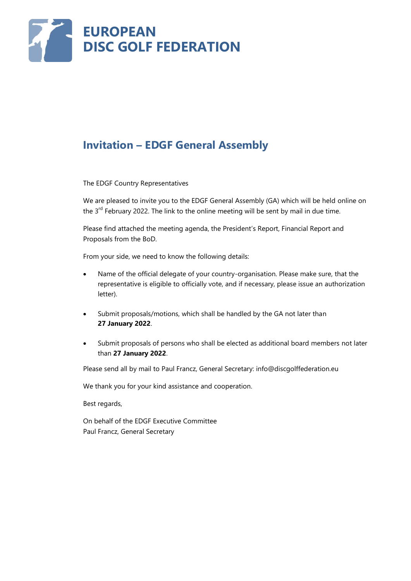

### **Invitation – EDGF General Assembly**

The EDGF Country Representatives

We are pleased to invite you to the EDGF General Assembly (GA) which will be held online on the 3<sup>rd</sup> February 2022. The link to the online meeting will be sent by mail in due time.

Please find attached the meeting agenda, the President's Report, Financial Report and Proposals from the BoD.

From your side, we need to know the following details:

- Name of the official delegate of your country-organisation. Please make sure, that the representative is eligible to officially vote, and if necessary, please issue an authorization letter).
- Submit proposals/motions, which shall be handled by the GA not later than **27 January 2022**.
- Submit proposals of persons who shall be elected as additional board members not later than **27 January 2022**.

Please send all by mail to Paul Francz, General Secretary: info@discgolffederation.eu

We thank you for your kind assistance and cooperation.

Best regards,

On behalf of the EDGF Executive Committee Paul Francz, General Secretary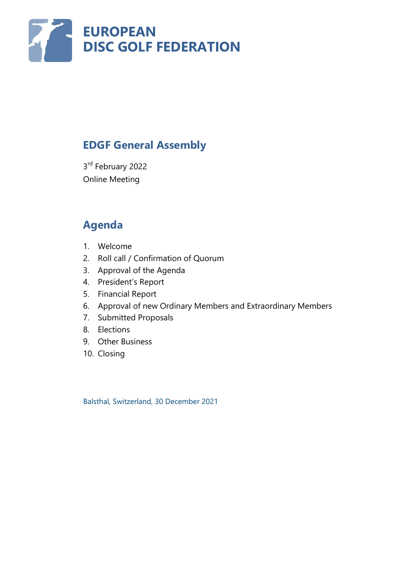

# **EDGF General Assembly**

3<sup>rd</sup> February 2022 Online Meeting

# **Agenda**

- 1. Welcome
- 2. Roll call / Confirmation of Quorum
- 3. Approval of the Agenda
- 4. President's Report
- 5. Financial Report
- 6. Approval of new Ordinary Members and Extraordinary Members
- 7. Submitted Proposals
- 8. Elections
- 9. Other Business
- 10. Closing

Balsthal, Switzerland, 30 December 2021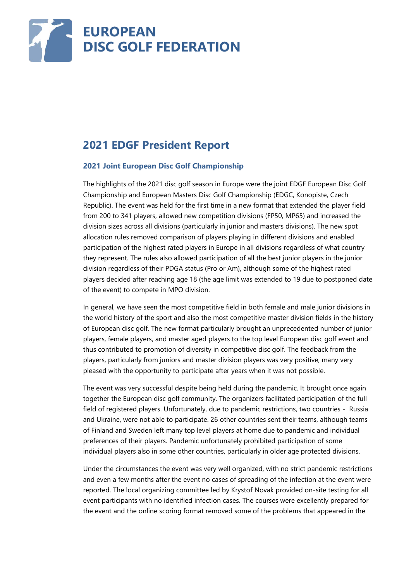

# **2021 EDGF President Report**

#### **2021 Joint European Disc Golf Championship**

The highlights of the 2021 disc golf season in Europe were the joint EDGF European Disc Golf Championship and European Masters Disc Golf Championship (EDGC, Konopiste, Czech Republic). The event was held for the first time in a new format that extended the player field from 200 to 341 players, allowed new competition divisions (FP50, MP65) and increased the division sizes across all divisions (particularly in junior and masters divisions). The new spot allocation rules removed comparison of players playing in different divisions and enabled participation of the highest rated players in Europe in all divisions regardless of what country they represent. The rules also allowed participation of all the best junior players in the junior division regardless of their PDGA status (Pro or Am), although some of the highest rated players decided after reaching age 18 (the age limit was extended to 19 due to postponed date of the event) to compete in MPO division.

In general, we have seen the most competitive field in both female and male junior divisions in the world history of the sport and also the most competitive master division fields in the history of European disc golf. The new format particularly brought an unprecedented number of junior players, female players, and master aged players to the top level European disc golf event and thus contributed to promotion of diversity in competitive disc golf. The feedback from the players, particularly from juniors and master division players was very positive, many very pleased with the opportunity to participate after years when it was not possible.

The event was very successful despite being held during the pandemic. It brought once again together the European disc golf community. The organizers facilitated participation of the full field of registered players. Unfortunately, due to pandemic restrictions, two countries - Russia and Ukraine, were not able to participate. 26 other countries sent their teams, although teams of Finland and Sweden left many top level players at home due to pandemic and individual preferences of their players. Pandemic unfortunately prohibited participation of some individual players also in some other countries, particularly in older age protected divisions.

Under the circumstances the event was very well organized, with no strict pandemic restrictions and even a few months after the event no cases of spreading of the infection at the event were reported. The local organizing committee led by Krystof Novak provided on-site testing for all event participants with no identified infection cases. The courses were excellently prepared for the event and the online scoring format removed some of the problems that appeared in the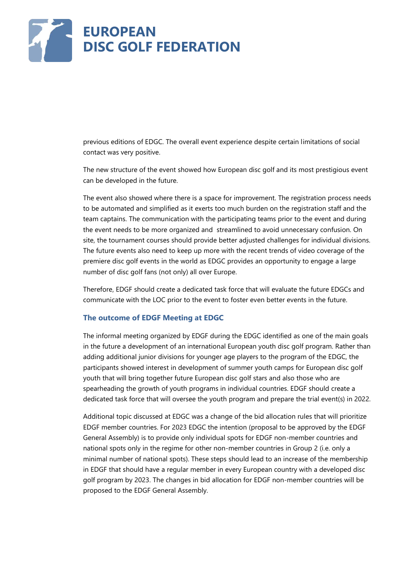

previous editions of EDGC. The overall event experience despite certain limitations of social contact was very positive.

The new structure of the event showed how European disc golf and its most prestigious event can be developed in the future.

The event also showed where there is a space for improvement. The registration process needs to be automated and simplified as it exerts too much burden on the registration staff and the team captains. The communication with the participating teams prior to the event and during the event needs to be more organized and streamlined to avoid unnecessary confusion. On site, the tournament courses should provide better adjusted challenges for individual divisions. The future events also need to keep up more with the recent trends of video coverage of the premiere disc golf events in the world as EDGC provides an opportunity to engage a large number of disc golf fans (not only) all over Europe.

Therefore, EDGF should create a dedicated task force that will evaluate the future EDGCs and communicate with the LOC prior to the event to foster even better events in the future.

#### **The outcome of EDGF Meeting at EDGC**

The informal meeting organized by EDGF during the EDGC identified as one of the main goals in the future a development of an international European youth disc golf program. Rather than adding additional junior divisions for younger age players to the program of the EDGC, the participants showed interest in development of summer youth camps for European disc golf youth that will bring together future European disc golf stars and also those who are spearheading the growth of youth programs in individual countries. EDGF should create a dedicated task force that will oversee the youth program and prepare the trial event(s) in 2022.

Additional topic discussed at EDGC was a change of the bid allocation rules that will prioritize EDGF member countries. For 2023 EDGC the intention (proposal to be approved by the EDGF General Assembly) is to provide only individual spots for EDGF non-member countries and national spots only in the regime for other non-member countries in Group 2 (i.e. only a minimal number of national spots). These steps should lead to an increase of the membership in EDGF that should have a regular member in every European country with a developed disc golf program by 2023. The changes in bid allocation for EDGF non-member countries will be proposed to the EDGF General Assembly.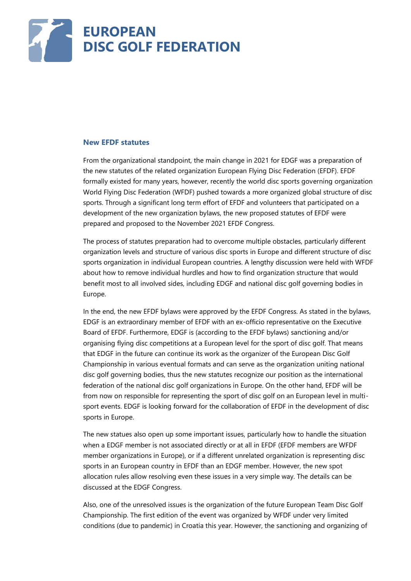

#### **New EFDF statutes**

From the organizational standpoint, the main change in 2021 for EDGF was a preparation of the new statutes of the related organization European Flying Disc Federation (EFDF). EFDF formally existed for many years, however, recently the world disc sports governing organization World Flying Disc Federation (WFDF) pushed towards a more organized global structure of disc sports. Through a significant long term effort of EFDF and volunteers that participated on a development of the new organization bylaws, the new proposed statutes of EFDF were prepared and proposed to the November 2021 EFDF Congress.

The process of statutes preparation had to overcome multiple obstacles, particularly different organization levels and structure of various disc sports in Europe and different structure of disc sports organization in individual European countries. A lengthy discussion were held with WFDF about how to remove individual hurdles and how to find organization structure that would benefit most to all involved sides, including EDGF and national disc golf governing bodies in Europe.

In the end, the new EFDF bylaws were approved by the EFDF Congress. As stated in the bylaws, EDGF is an extraordinary member of EFDF with an ex-officio representative on the Executive Board of EFDF. Furthermore, EDGF is (according to the EFDF bylaws) sanctioning and/or organising flying disc competitions at a European level for the sport of disc golf. That means that EDGF in the future can continue its work as the organizer of the European Disc Golf Championship in various eventual formats and can serve as the organization uniting national disc golf governing bodies, thus the new statutes recognize our position as the international federation of the national disc golf organizations in Europe. On the other hand, EFDF will be from now on responsible for representing the sport of disc golf on an European level in multisport events. EDGF is looking forward for the collaboration of EFDF in the development of disc sports in Europe.

The new statues also open up some important issues, particularly how to handle the situation when a EDGF member is not associated directly or at all in EFDF (EFDF members are WFDF member organizations in Europe), or if a different unrelated organization is representing disc sports in an European country in EFDF than an EDGF member. However, the new spot allocation rules allow resolving even these issues in a very simple way. The details can be discussed at the EDGF Congress.

Also, one of the unresolved issues is the organization of the future European Team Disc Golf Championship. The first edition of the event was organized by WFDF under very limited conditions (due to pandemic) in Croatia this year. However, the sanctioning and organizing of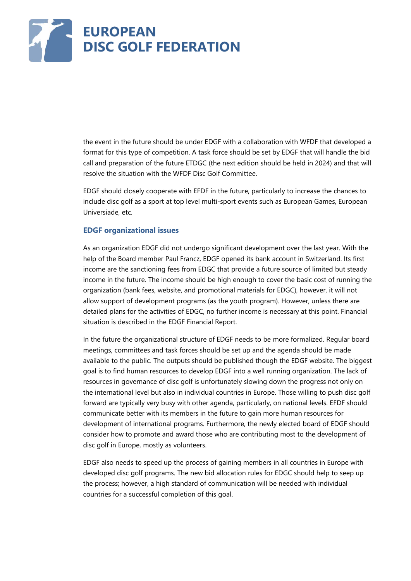

the event in the future should be under EDGF with a collaboration with WFDF that developed a format for this type of competition. A task force should be set by EDGF that will handle the bid call and preparation of the future ETDGC (the next edition should be held in 2024) and that will resolve the situation with the WFDF Disc Golf Committee.

EDGF should closely cooperate with EFDF in the future, particularly to increase the chances to include disc golf as a sport at top level multi-sport events such as European Games, European Universiade, etc.

#### **EDGF organizational issues**

As an organization EDGF did not undergo significant development over the last year. With the help of the Board member Paul Francz, EDGF opened its bank account in Switzerland. Its first income are the sanctioning fees from EDGC that provide a future source of limited but steady income in the future. The income should be high enough to cover the basic cost of running the organization (bank fees, website, and promotional materials for EDGC), however, it will not allow support of development programs (as the youth program). However, unless there are detailed plans for the activities of EDGC, no further income is necessary at this point. Financial situation is described in the EDGF Financial Report.

In the future the organizational structure of EDGF needs to be more formalized. Regular board meetings, committees and task forces should be set up and the agenda should be made available to the public. The outputs should be published though the EDGF website. The biggest goal is to find human resources to develop EDGF into a well running organization. The lack of resources in governance of disc golf is unfortunately slowing down the progress not only on the international level but also in individual countries in Europe. Those willing to push disc golf forward are typically very busy with other agenda, particularly, on national levels. EFDF should communicate better with its members in the future to gain more human resources for development of international programs. Furthermore, the newly elected board of EDGF should consider how to promote and award those who are contributing most to the development of disc golf in Europe, mostly as volunteers.

EDGF also needs to speed up the process of gaining members in all countries in Europe with developed disc golf programs. The new bid allocation rules for EDGC should help to seep up the process; however, a high standard of communication will be needed with individual countries for a successful completion of this goal.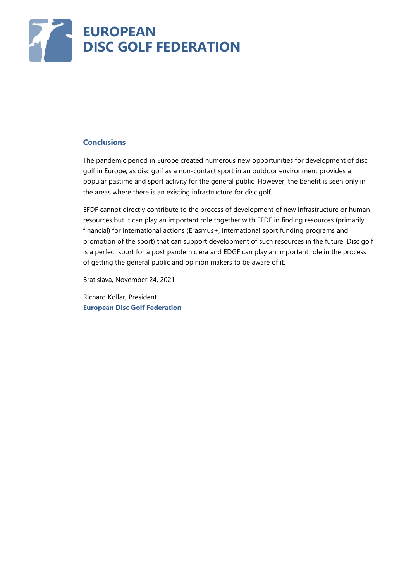

#### **Conclusions**

The pandemic period in Europe created numerous new opportunities for development of disc golf in Europe, as disc golf as a non-contact sport in an outdoor environment provides a popular pastime and sport activity for the general public. However, the benefit is seen only in the areas where there is an existing infrastructure for disc golf.

EFDF cannot directly contribute to the process of development of new infrastructure or human resources but it can play an important role together with EFDF in finding resources (primarily financial) for international actions (Erasmus+, international sport funding programs and promotion of the sport) that can support development of such resources in the future. Disc golf is a perfect sport for a post pandemic era and EDGF can play an important role in the process of getting the general public and opinion makers to be aware of it.

Bratislava, November 24, 2021

Richard Kollar, President **European Disc Golf Federation**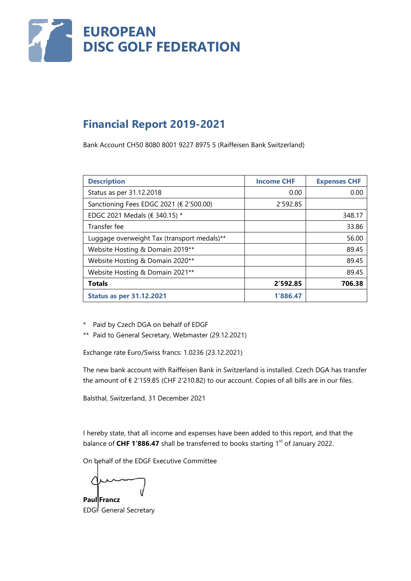

# **Financial Report 2019-2021**

Bank Account CH50 8080 8001 9227 8975 5 (Raiffeisen Bank Switzerland)

| <b>Description</b>                          | <b>Income CHF</b> | <b>Expenses CHF</b> |
|---------------------------------------------|-------------------|---------------------|
| Status as per 31.12.2018                    | 0.00              | 0.00                |
| Sanctioning Fees EDGC 2021 (€ 2'500.00)     | 2'592.85          |                     |
| EDGC 2021 Medals (€ 340.15) *               |                   | 348.17              |
| Transfer fee                                |                   | 33.86               |
| Luggage overweight Tax (transport medals)** |                   | 56.00               |
| Website Hosting & Domain 2019**             |                   | 89.45               |
| Website Hosting & Domain 2020**             |                   | 89.45               |
| Website Hosting & Domain 2021**             |                   | 89.45               |
| <b>Totals</b>                               | 2'592.85          | 706.38              |
| <b>Status as per 31.12.2021</b>             | 1'886.47          |                     |

- \* Paid by Czech DGA on behalf of EDGF
- \*\* Paid to General Secretary, Webmaster (29.12.2021)

Exchange rate Euro/Swiss francs: 1.0236 (23.12.2021)

The new bank account with Raiffeisen Bank in Switzerland is installed. Czech DGA has transfer the amount of € 2'159.85 (CHF 2'210.82) to our account. Copies of all bills are in our files.

Balsthal, Switzerland, 31 December 2021

I hereby state, that all income and expenses have been added to this report, and that the balance of **CHF 1'886.47** shall be transferred to books starting 1<sup>st</sup> of January 2022.

On behalf of the EDGF Executive Committee

**Paul Francz**

EDGF General Secretary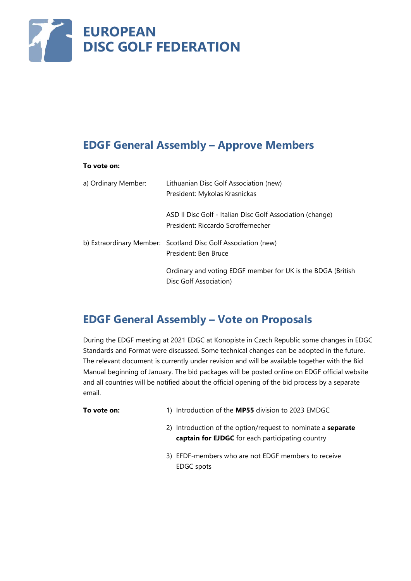

# **EDGF General Assembly – Approve Members**

#### **To vote on:**

| a) Ordinary Member: | Lithuanian Disc Golf Association (new)<br>President: Mykolas Krasnickas                         |
|---------------------|-------------------------------------------------------------------------------------------------|
|                     | ASD II Disc Golf - Italian Disc Golf Association (change)<br>President: Riccardo Scroffernecher |
|                     | b) Extraordinary Member: Scotland Disc Golf Association (new)<br>President: Ben Bruce           |
|                     | Ordinary and voting EDGF member for UK is the BDGA (British<br>Disc Golf Association)           |

### **EDGF General Assembly – Vote on Proposals**

During the EDGF meeting at 2021 EDGC at Konopiste in Czech Republic some changes in EDGC Standards and Format were discussed. Some technical changes can be adopted in the future. The relevant document is currently under revision and will be available together with the Bid Manual beginning of January. The bid packages will be posted online on EDGF official website and all countries will be notified about the official opening of the bid process by a separate email.

- **To vote on:** 1) Introduction of the **MP55** division to 2023 EMDGC
	- 2) Introduction of the option/request to nominate a **separate captain for EJDGC** for each participating country
	- 3) EFDF-members who are not EDGF members to receive EDGC spots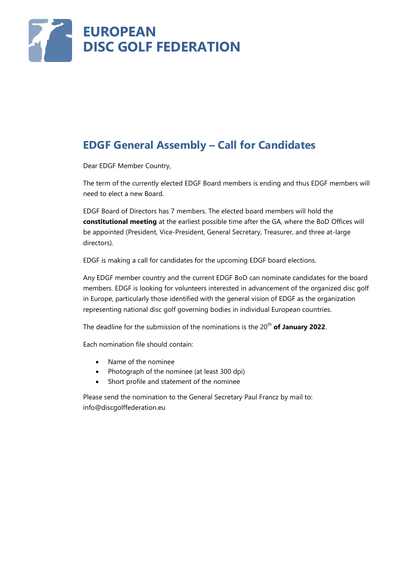

# **EDGF General Assembly – Call for Candidates**

Dear EDGF Member Country,

The term of the currently elected EDGF Board members is ending and thus EDGF members will need to elect a new Board.

EDGF Board of Directors has 7 members. The elected board members will hold the **constitutional meeting** at the earliest possible time after the GA, where the BoD Offices will be appointed (President, Vice-President, General Secretary, Treasurer, and three at-large directors).

EDGF is making a call for candidates for the upcoming EDGF board elections.

Any EDGF member country and the current EDGF BoD can nominate candidates for the board members. EDGF is looking for volunteers interested in advancement of the organized disc golf in Europe, particularly those identified with the general vision of EDGF as the organization representing national disc golf governing bodies in individual European countries.

The deadline for the submission of the nominations is the 20<sup>th</sup> of January 2022.

Each nomination file should contain:

- Name of the nominee
- Photograph of the nominee (at least 300 dpi)
- Short profile and statement of the nominee

Please send the nomination to the General Secretary Paul Francz by mail to: info@discgolffederation.eu